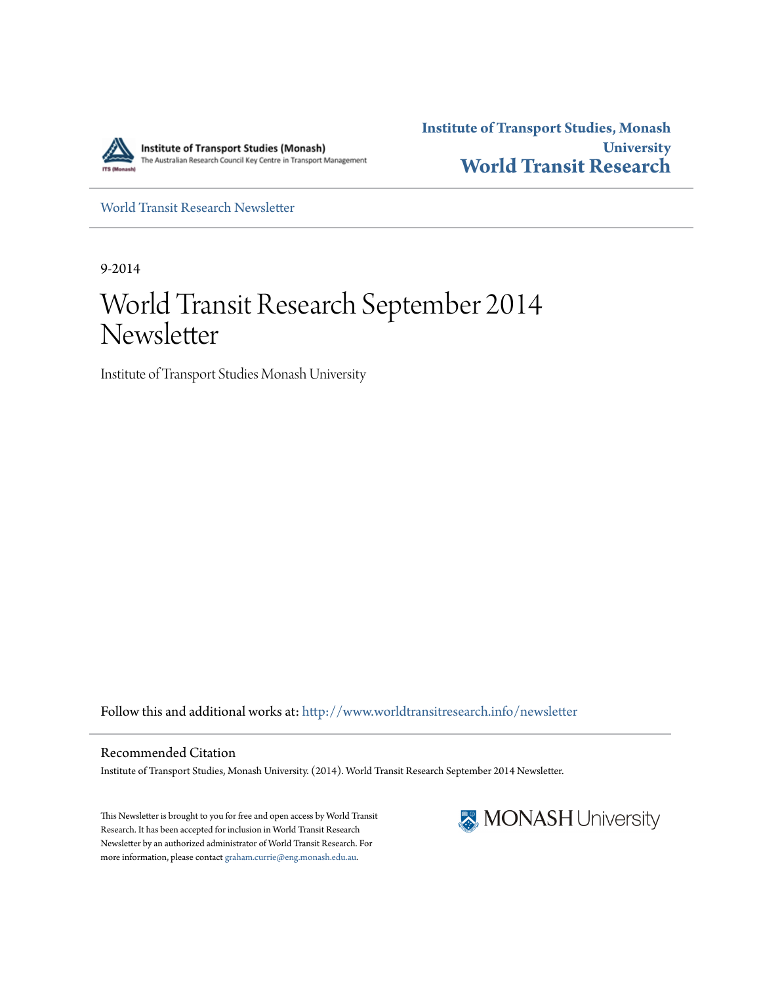

**Institute of Transport Studies, Monash University [World Transit Research](http://www.worldtransitresearch.info?utm_source=www.worldtransitresearch.info%2Fnewsletter%2F26&utm_medium=PDF&utm_campaign=PDFCoverPages)**

[World Transit Research Newsletter](http://www.worldtransitresearch.info/newsletter?utm_source=www.worldtransitresearch.info%2Fnewsletter%2F26&utm_medium=PDF&utm_campaign=PDFCoverPages)

9-2014

# World Transit Research September 2014 Newsletter

Institute of Transport Studies Monash University

Follow this and additional works at: [http://www.worldtransitresearch.info/newsletter](http://www.worldtransitresearch.info/newsletter?utm_source=www.worldtransitresearch.info%2Fnewsletter%2F26&utm_medium=PDF&utm_campaign=PDFCoverPages)

Recommended Citation Institute of Transport Studies, Monash University. (2014). World Transit Research September 2014 Newsletter.

This Newsletter is brought to you for free and open access by World Transit Research. It has been accepted for inclusion in World Transit Research Newsletter by an authorized administrator of World Transit Research. For more information, please contact [graham.currie@eng.monash.edu.au.](mailto:graham.currie@eng.monash.edu.au)

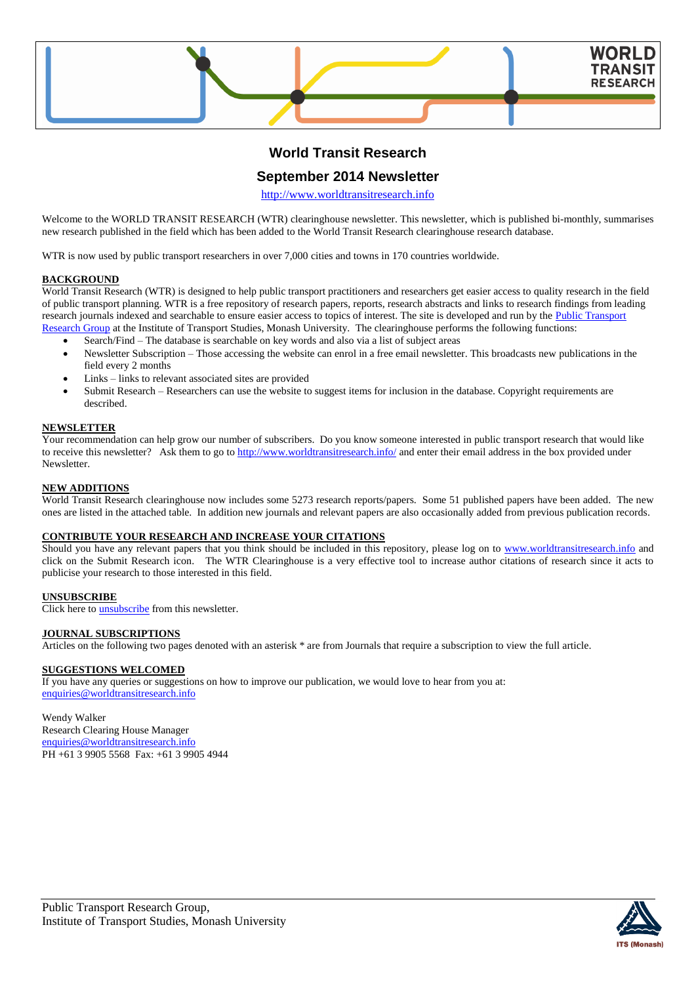

## **World Transit Research**

## **September 2014 Newsletter**

[http://www.worldtransitresearch.info](http://www.worldtransitresearch.info/)

Welcome to the WORLD TRANSIT RESEARCH (WTR) clearinghouse newsletter. This newsletter, which is published bi-monthly, summarises new research published in the field which has been added to the World Transit Research clearinghouse research database.

WTR is now used by public transport researchers in over 7,000 cities and towns in 170 countries worldwide.

## **BACKGROUND**

World Transit Research (WTR) is designed to help public transport practitioners and researchers get easier access to quality research in the field of public transport planning. WTR is a free repository of research papers, reports, research abstracts and links to research findings from leading research journals indexed and searchable to ensure easier access to topics of interest. The site is developed and run by the Public Transport [Research Group](http://eng.monash.edu.au/civil/research/centres/its/research-activities/public-transport-planning.html) at the Institute of Transport Studies, Monash University. The clearinghouse performs the following functions:

- Search/Find The database is searchable on key words and also via a list of subject areas
- Newsletter Subscription Those accessing the website can enrol in a free email newsletter. This broadcasts new publications in the field every 2 months
- Links links to relevant associated sites are provided
- Submit Research Researchers can use the website to suggest items for inclusion in the database. Copyright requirements are described.

### **NEWSLETTER**

Your recommendation can help grow our number of subscribers. Do you know someone interested in public transport research that would like to receive this newsletter? Ask them to go to<http://www.worldtransitresearch.info/> and enter their email address in the box provided under **Newsletter** 

### **NEW ADDITIONS**

World Transit Research clearinghouse now includes some 5273 research reports/papers. Some 51 published papers have been added. The new ones are listed in the attached table. In addition new journals and relevant papers are also occasionally added from previous publication records.

### **CONTRIBUTE YOUR RESEARCH AND INCREASE YOUR CITATIONS**

Should you have any relevant papers that you think should be included in this repository, please log on to [www.worldtransitresearch.info](http://www.worldtransitresearch.info/) and click on the Submit Research icon. The WTR Clearinghouse is a very effective tool to increase author citations of research since it acts to publicise your research to those interested in this field.

## **UNSUBSCRIBE**

Click here to **unsubscribe** from this newsletter.

#### **JOURNAL SUBSCRIPTIONS**

Articles on the following two pages denoted with an asterisk \* are from Journals that require a subscription to view the full article.

## **SUGGESTIONS WELCOMED**

If you have any queries or suggestions on how to improve our publication, we would love to hear from you at: [enquiries@worldtransitresearch.info](mailto:enquiries@worldtransitresearch.info)

#### Wendy Walker Research Clearing House Manager [enquiries@worldtransitresearch.info](mailto:enquiries@worldtransitresearch.info) PH +61 3 9905 5568 Fax: +61 3 9905 4944

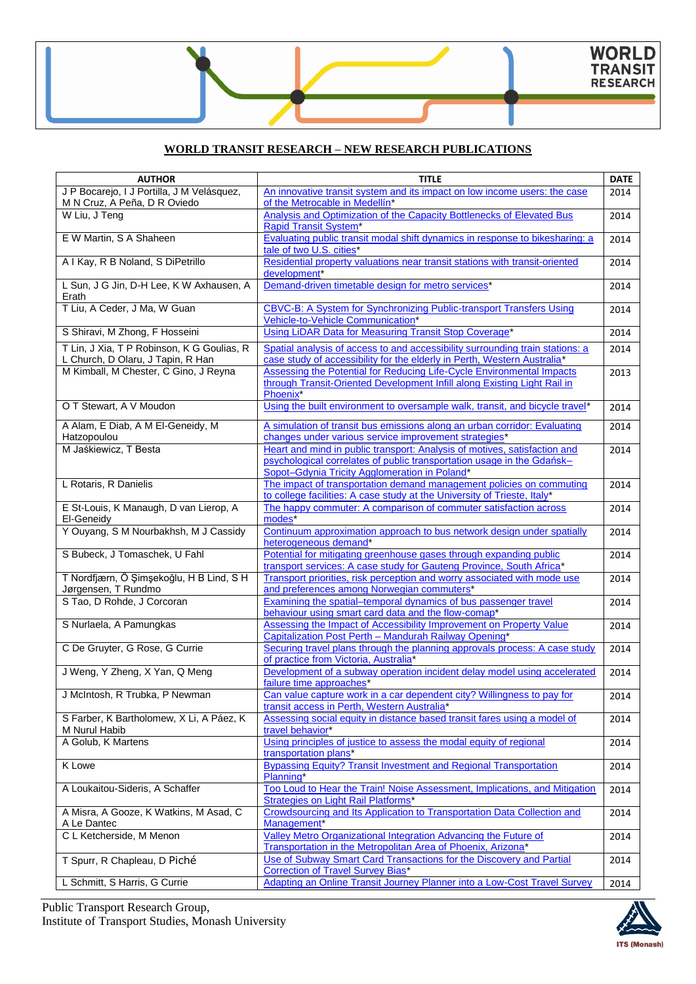## **WORLD TRANSIT RESEARCH – NEW RESEARCH PUBLICATIONS**

| <b>AUTHOR</b>                              | <b>TITLE</b>                                                                                             | <b>DATE</b> |
|--------------------------------------------|----------------------------------------------------------------------------------------------------------|-------------|
| J P Bocarejo, I J Portilla, J M Velásquez, | An innovative transit system and its impact on low income users: the case                                | 2014        |
| M N Cruz, A Peña, D R Oviedo               | of the Metrocable in Medellín*                                                                           |             |
| W Liu, J Teng                              | Analysis and Optimization of the Capacity Bottlenecks of Elevated Bus                                    | 2014        |
|                                            | <b>Rapid Transit System*</b>                                                                             |             |
| E W Martin, S A Shaheen                    | Evaluating public transit modal shift dynamics in response to bikesharing: a<br>tale of two U.S. cities* | 2014        |
| A I Kay, R B Noland, S DiPetrillo          | Residential property valuations near transit stations with transit-oriented                              | 2014        |
|                                            | development*                                                                                             |             |
| L Sun, J G Jin, D-H Lee, K W Axhausen, A   | Demand-driven timetable design for metro services*                                                       | 2014        |
| Erath                                      |                                                                                                          |             |
| T Liu, A Ceder, J Ma, W Guan               | <b>CBVC-B: A System for Synchronizing Public-transport Transfers Using</b>                               | 2014        |
|                                            | Vehicle-to-Vehicle Communication*                                                                        |             |
| S Shiravi, M Zhong, F Hosseini             | Using LiDAR Data for Measuring Transit Stop Coverage*                                                    | 2014        |
| T Lin, J Xia, T P Robinson, K G Goulias, R | Spatial analysis of access to and accessibility surrounding train stations: a                            | 2014        |
| L Church, D Olaru, J Tapin, R Han          | case study of accessibility for the elderly in Perth, Western Australia*                                 |             |
| M Kimball, M Chester, C Gino, J Reyna      | Assessing the Potential for Reducing Life-Cycle Environmental Impacts                                    | 2013        |
|                                            | through Transit-Oriented Development Infill along Existing Light Rail in                                 |             |
|                                            | Phoenix*                                                                                                 |             |
| O T Stewart, A V Moudon                    | Using the built environment to oversample walk, transit, and bicycle travel*                             | 2014        |
| A Alam, E Diab, A M El-Geneidy, M          | A simulation of transit bus emissions along an urban corridor: Evaluating                                | 2014        |
| Hatzopoulou                                | changes under various service improvement strategies*                                                    |             |
| M Jaśkiewicz, T Besta                      | Heart and mind in public transport: Analysis of motives, satisfaction and                                | 2014        |
|                                            | psychological correlates of public transportation usage in the Gdańsk-                                   |             |
|                                            | Sopot-Gdynia Tricity Agglomeration in Poland*                                                            |             |
| L Rotaris, R Danielis                      | The impact of transportation demand management policies on commuting                                     | 2014        |
|                                            | to college facilities: A case study at the University of Trieste, Italy*                                 |             |
| E St-Louis, K Manaugh, D van Lierop, A     | The happy commuter: A comparison of commuter satisfaction across                                         | 2014        |
| El-Geneidy                                 | modes*                                                                                                   |             |
| Y Ouyang, S M Nourbakhsh, M J Cassidy      | Continuum approximation approach to bus network design under spatially                                   | 2014        |
| S Bubeck, J Tomaschek, U Fahl              | heterogeneous demand*<br>Potential for mitigating greenhouse gases through expanding public              |             |
|                                            | transport services: A case study for Gauteng Province, South Africa*                                     | 2014        |
| T Nordfjærn, Ö Şimşekoğlu, H B Lind, S H   | Transport priorities, risk perception and worry associated with mode use                                 | 2014        |
| Jørgensen, T Rundmo                        | and preferences among Norwegian commuters*                                                               |             |
| S Tao, D Rohde, J Corcoran                 | Examining the spatial-temporal dynamics of bus passenger travel                                          | 2014        |
|                                            | behaviour using smart card data and the flow-comap*                                                      |             |
| S Nurlaela, A Pamungkas                    | Assessing the Impact of Accessibility Improvement on Property Value                                      | 2014        |
|                                            | Capitalization Post Perth - Mandurah Railway Opening*                                                    |             |
| C De Gruyter, G Rose, G Currie             | Securing travel plans through the planning approvals process: A case study                               | 2014        |
|                                            | of practice from Victoria, Australia*                                                                    |             |
| J Weng, Y Zheng, X Yan, Q Meng             | Development of a subway operation incident delay model using accelerated                                 | 2014        |
| J McIntosh, R Trubka, P Newman             | failure time approaches*<br>Can value capture work in a car dependent city? Willingness to pay for       | 2014        |
|                                            | transit access in Perth, Western Australia*                                                              |             |
| S Farber, K Bartholomew, X Li, A Páez, K   | Assessing social equity in distance based transit fares using a model of                                 | 2014        |
| M Nurul Habib                              | travel behavior*                                                                                         |             |
| A Golub, K Martens                         | Using principles of justice to assess the modal equity of regional                                       | 2014        |
|                                            | transportation plans*                                                                                    |             |
| K Lowe                                     | <b>Bypassing Equity? Transit Investment and Regional Transportation</b>                                  | 2014        |
|                                            | Planning*                                                                                                |             |
| A Loukaitou-Sideris, A Schaffer            | Too Loud to Hear the Train! Noise Assessment, Implications, and Mitigation                               | 2014        |
|                                            | Strategies on Light Rail Platforms*                                                                      |             |
| A Misra, A Gooze, K Watkins, M Asad, C     | Crowdsourcing and Its Application to Transportation Data Collection and                                  | 2014        |
| A Le Dantec<br>C L Ketcherside, M Menon    | Management <sup>*</sup><br>Valley Metro Organizational Integration Advancing the Future of               |             |
|                                            | Transportation in the Metropolitan Area of Phoenix, Arizona*                                             | 2014        |
| T Spurr, R Chapleau, D Piché               | Use of Subway Smart Card Transactions for the Discovery and Partial                                      | 2014        |
|                                            | <b>Correction of Travel Survey Bias*</b>                                                                 |             |
| L Schmitt, S Harris, G Currie              | Adapting an Online Transit Journey Planner into a Low-Cost Travel Survey                                 | 2014        |
|                                            |                                                                                                          |             |